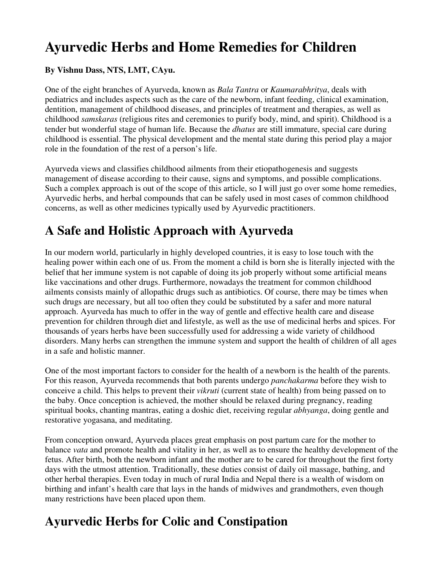# **Ayurvedic Herbs and Home Remedies for Children**

### **By Vishnu Dass, NTS, LMT, CAyu.**

One of the eight branches of Ayurveda, known as *Bala Tantra* or *Kaumarabhritya*, deals with pediatrics and includes aspects such as the care of the newborn, infant feeding, clinical examination, dentition, management of childhood diseases, and principles of treatment and therapies, as well as childhood *samskaras* (religious rites and ceremonies to purify body, mind, and spirit). Childhood is a tender but wonderful stage of human life. Because the *dhatus* are still immature, special care during childhood is essential. The physical development and the mental state during this period play a major role in the foundation of the rest of a person's life.

Ayurveda views and classifies childhood ailments from their etiopathogenesis and suggests management of disease according to their cause, signs and symptoms, and possible complications. Such a complex approach is out of the scope of this article, so I will just go over some home remedies, Ayurvedic herbs, and herbal compounds that can be safely used in most cases of common childhood concerns, as well as other medicines typically used by Ayurvedic practitioners.

### **A Safe and Holistic Approach with Ayurveda**

In our modern world, particularly in highly developed countries, it is easy to lose touch with the healing power within each one of us. From the moment a child is born she is literally injected with the belief that her immune system is not capable of doing its job properly without some artificial means like vaccinations and other drugs. Furthermore, nowadays the treatment for common childhood ailments consists mainly of allopathic drugs such as antibiotics. Of course, there may be times when such drugs are necessary, but all too often they could be substituted by a safer and more natural approach. Ayurveda has much to offer in the way of gentle and effective health care and disease prevention for children through diet and lifestyle, as well as the use of medicinal herbs and spices. For thousands of years herbs have been successfully used for addressing a wide variety of childhood disorders. Many herbs can strengthen the immune system and support the health of children of all ages in a safe and holistic manner.

One of the most important factors to consider for the health of a newborn is the health of the parents. For this reason, Ayurveda recommends that both parents undergo *panchakarma* before they wish to conceive a child. This helps to prevent their *vikruti* (current state of health) from being passed on to the baby. Once conception is achieved, the mother should be relaxed during pregnancy, reading spiritual books, chanting mantras, eating a doshic diet, receiving regular *abhyanga*, doing gentle and restorative yogasana, and meditating.

From conception onward, Ayurveda places great emphasis on post partum care for the mother to balance *vata* and promote health and vitality in her, as well as to ensure the healthy development of the fetus. After birth, both the newborn infant and the mother are to be cared for throughout the first forty days with the utmost attention. Traditionally, these duties consist of daily oil massage, bathing, and other herbal therapies. Even today in much of rural India and Nepal there is a wealth of wisdom on birthing and infant's health care that lays in the hands of midwives and grandmothers, even though many restrictions have been placed upon them.

### **Ayurvedic Herbs for Colic and Constipation**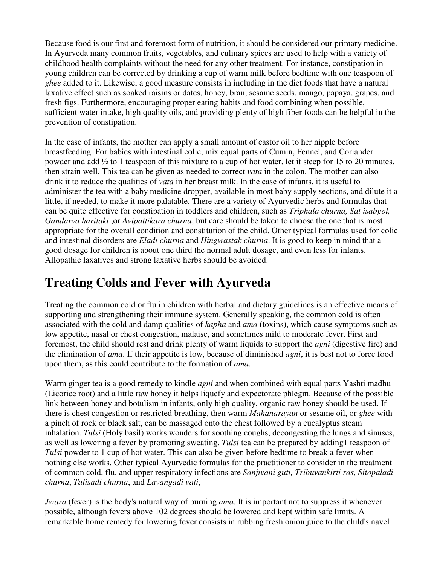Because food is our first and foremost form of nutrition, it should be considered our primary medicine. In Ayurveda many common fruits, vegetables, and culinary spices are used to help with a variety of childhood health complaints without the need for any other treatment. For instance, constipation in young children can be corrected by drinking a cup of warm milk before bedtime with one teaspoon of *ghee* added to it. Likewise, a good measure consists in including in the diet foods that have a natural laxative effect such as soaked raisins or dates, honey, bran, sesame seeds, mango, papaya, grapes, and fresh figs. Furthermore, encouraging proper eating habits and food combining when possible, sufficient water intake, high quality oils, and providing plenty of high fiber foods can be helpful in the prevention of constipation.

In the case of infants, the mother can apply a small amount of castor oil to her nipple before breastfeeding. For babies with intestinal colic, mix equal parts of Cumin, Fennel, and Coriander powder and add ½ to 1 teaspoon of this mixture to a cup of hot water, let it steep for 15 to 20 minutes, then strain well. This tea can be given as needed to correct *vata* in the colon. The mother can also drink it to reduce the qualities of *vata* in her breast milk. In the case of infants, it is useful to administer the tea with a baby medicine dropper, available in most baby supply sections, and dilute it a little, if needed, to make it more palatable. There are a variety of Ayurvedic herbs and formulas that can be quite effective for constipation in toddlers and children, such as *Triphala churna, Sat isabgol, Gandarva haritaki* ,or *Avipattikara churna*, but care should be taken to choose the one that is most appropriate for the overall condition and constitution of the child. Other typical formulas used for colic and intestinal disorders are *Eladi churna* and *Hingwastak churna*. It is good to keep in mind that a good dosage for children is about one third the normal adult dosage, and even less for infants. Allopathic laxatives and strong laxative herbs should be avoided.

# **Treating Colds and Fever with Ayurveda**

Treating the common cold or flu in children with herbal and dietary guidelines is an effective means of supporting and strengthening their immune system. Generally speaking, the common cold is often associated with the cold and damp qualities of *kapha* and *ama* (toxins), which cause symptoms such as low appetite, nasal or chest congestion, malaise, and sometimes mild to moderate fever. First and foremost, the child should rest and drink plenty of warm liquids to support the *agni* (digestive fire) and the elimination of *ama*. If their appetite is low, because of diminished *agni*, it is best not to force food upon them, as this could contribute to the formation of *ama*.

Warm ginger tea is a good remedy to kindle *agni* and when combined with equal parts Yashti madhu (Licorice root) and a little raw honey it helps liquefy and expectorate phlegm. Because of the possible link between honey and botulism in infants, only high quality, organic raw honey should be used. If there is chest congestion or restricted breathing, then warm *Mahanarayan* or sesame oil, or *ghee* with a pinch of rock or black salt, can be massaged onto the chest followed by a eucalyptus steam inhalation. *Tulsi* (Holy basil) works wonders for soothing coughs, decongesting the lungs and sinuses, as well as lowering a fever by promoting sweating. *Tulsi* tea can be prepared by adding1 teaspoon of *Tulsi* powder to 1 cup of hot water. This can also be given before bedtime to break a fever when nothing else works. Other typical Ayurvedic formulas for the practitioner to consider in the treatment of common cold, flu, and upper respiratory infections are *Sanjivani guti, Tribuvankirti ras, Sitopaladi churna*, *Talisadi churna*, and *Lavangadi vati*,

*Jwara* (fever) is the body's natural way of burning *ama*. It is important not to suppress it whenever possible, although fevers above 102 degrees should be lowered and kept within safe limits. A remarkable home remedy for lowering fever consists in rubbing fresh onion juice to the child's navel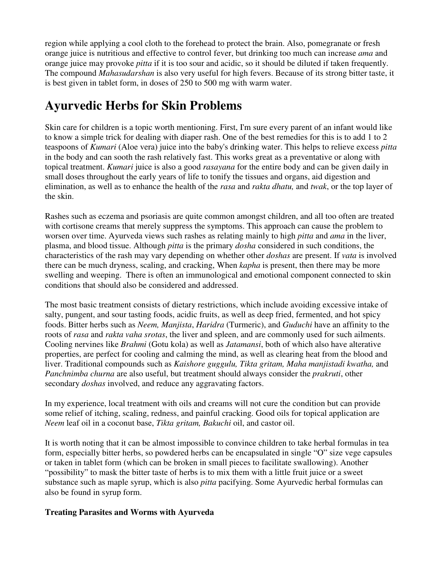region while applying a cool cloth to the forehead to protect the brain. Also, pomegranate or fresh orange juice is nutritious and effective to control fever, but drinking too much can increase *ama* and orange juice may provoke *pitta* if it is too sour and acidic, so it should be diluted if taken frequently. The compound *Mahasudarshan* is also very useful for high fevers. Because of its strong bitter taste, it is best given in tablet form, in doses of 250 to 500 mg with warm water.

# **Ayurvedic Herbs for Skin Problems**

Skin care for children is a topic worth mentioning. First, I'm sure every parent of an infant would like to know a simple trick for dealing with diaper rash. One of the best remedies for this is to add 1 to 2 teaspoons of *Kumari* (Aloe vera) juice into the baby's drinking water. This helps to relieve excess *pitta* in the body and can sooth the rash relatively fast. This works great as a preventative or along with topical treatment. *Kumari* juice is also a good *rasayana* for the entire body and can be given daily in small doses throughout the early years of life to tonify the tissues and organs, aid digestion and elimination, as well as to enhance the health of the *rasa* and *rakta dhatu,* and *twak*, or the top layer of the skin.

Rashes such as eczema and psoriasis are quite common amongst children, and all too often are treated with cortisone creams that merely suppress the symptoms. This approach can cause the problem to worsen over time. Ayurveda views such rashes as relating mainly to high *pitta* and *ama* in the liver, plasma, and blood tissue. Although *pitta* is the primary *dosha* considered in such conditions, the characteristics of the rash may vary depending on whether other *doshas* are present. If *vata* is involved there can be much dryness, scaling, and cracking, When *kapha* is present, then there may be more swelling and weeping. There is often an immunological and emotional component connected to skin conditions that should also be considered and addressed.

The most basic treatment consists of dietary restrictions, which include avoiding excessive intake of salty, pungent, and sour tasting foods, acidic fruits, as well as deep fried, fermented, and hot spicy foods. Bitter herbs such as *Neem, Manjista*, *Haridra* (Turmeric), and *Guduchi* have an affinity to the roots of *rasa* and *rakta vaha srotas*, the liver and spleen, and are commonly used for such ailments. Cooling nervines like *Brahmi* (Gotu kola) as well as *Jatamansi*, both of which also have alterative properties, are perfect for cooling and calming the mind, as well as clearing heat from the blood and liver. Traditional compounds such as *Kaishore guggulu, Tikta gritam, Maha manjistadi kwatha,* and *Panchnimba churna* are also useful, but treatment should always consider the *prakruti*, other secondary *doshas* involved, and reduce any aggravating factors.

In my experience, local treatment with oils and creams will not cure the condition but can provide some relief of itching, scaling, redness, and painful cracking. Good oils for topical application are *Neem* leaf oil in a coconut base, *Tikta gritam, Bakuchi* oil, and castor oil.

It is worth noting that it can be almost impossible to convince children to take herbal formulas in tea form, especially bitter herbs, so powdered herbs can be encapsulated in single "O" size vege capsules or taken in tablet form (which can be broken in small pieces to facilitate swallowing). Another "possibility" to mask the bitter taste of herbs is to mix them with a little fruit juice or a sweet substance such as maple syrup, which is also *pitta* pacifying. Some Ayurvedic herbal formulas can also be found in syrup form.

#### **Treating Parasites and Worms with Ayurveda**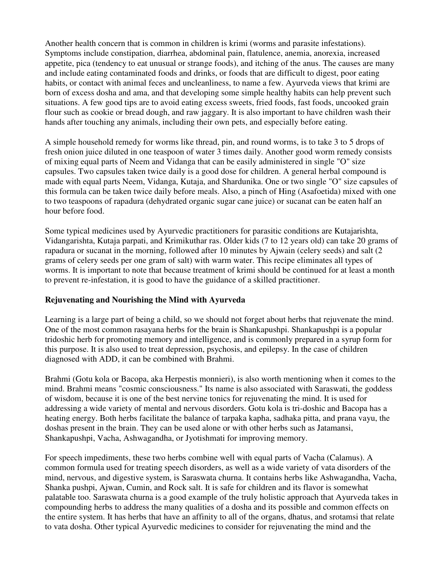Another health concern that is common in children is krimi (worms and parasite infestations). Symptoms include constipation, diarrhea, abdominal pain, flatulence, anemia, anorexia, increased appetite, pica (tendency to eat unusual or strange foods), and itching of the anus. The causes are many and include eating contaminated foods and drinks, or foods that are difficult to digest, poor eating habits, or contact with animal feces and uncleanliness, to name a few. Ayurveda views that krimi are born of excess dosha and ama, and that developing some simple healthy habits can help prevent such situations. A few good tips are to avoid eating excess sweets, fried foods, fast foods, uncooked grain flour such as cookie or bread dough, and raw jaggary. It is also important to have children wash their hands after touching any animals, including their own pets, and especially before eating.

A simple household remedy for worms like thread, pin, and round worms, is to take 3 to 5 drops of fresh onion juice diluted in one teaspoon of water 3 times daily. Another good worm remedy consists of mixing equal parts of Neem and Vidanga that can be easily administered in single "O" size capsules. Two capsules taken twice daily is a good dose for children. A general herbal compound is made with equal parts Neem, Vidanga, Kutaja, and Shardunika. One or two single "O" size capsules of this formula can be taken twice daily before meals. Also, a pinch of Hing (Asafoetida) mixed with one to two teaspoons of rapadura (dehydrated organic sugar cane juice) or sucanat can be eaten half an hour before food.

Some typical medicines used by Ayurvedic practitioners for parasitic conditions are Kutajarishta, Vidangarishta, Kutaja parpati, and Krimikuthar ras. Older kids (7 to 12 years old) can take 20 grams of rapadura or sucanat in the morning, followed after 10 minutes by Ajwain (celery seeds) and salt (2 grams of celery seeds per one gram of salt) with warm water. This recipe eliminates all types of worms. It is important to note that because treatment of krimi should be continued for at least a month to prevent re-infestation, it is good to have the guidance of a skilled practitioner.

#### **Rejuvenating and Nourishing the Mind with Ayurveda**

Learning is a large part of being a child, so we should not forget about herbs that rejuvenate the mind. One of the most common rasayana herbs for the brain is Shankapushpi. Shankapushpi is a popular tridoshic herb for promoting memory and intelligence, and is commonly prepared in a syrup form for this purpose. It is also used to treat depression, psychosis, and epilepsy. In the case of children diagnosed with ADD, it can be combined with Brahmi.

Brahmi (Gotu kola or Bacopa, aka Herpestis monnieri), is also worth mentioning when it comes to the mind. Brahmi means "cosmic consciousness." Its name is also associated with Saraswati, the goddess of wisdom, because it is one of the best nervine tonics for rejuvenating the mind. It is used for addressing a wide variety of mental and nervous disorders. Gotu kola is tri-doshic and Bacopa has a heating energy. Both herbs facilitate the balance of tarpaka kapha, sadhaka pitta, and prana vayu, the doshas present in the brain. They can be used alone or with other herbs such as Jatamansi, Shankapushpi, Vacha, Ashwagandha, or Jyotishmati for improving memory.

For speech impediments, these two herbs combine well with equal parts of Vacha (Calamus). A common formula used for treating speech disorders, as well as a wide variety of vata disorders of the mind, nervous, and digestive system, is Saraswata churna. It contains herbs like Ashwagandha, Vacha, Shanka pushpi, Ajwan, Cumin, and Rock salt. It is safe for children and its flavor is somewhat palatable too. Saraswata churna is a good example of the truly holistic approach that Ayurveda takes in compounding herbs to address the many qualities of a dosha and its possible and common effects on the entire system. It has herbs that have an affinity to all of the organs, dhatus, and srotamsi that relate to vata dosha. Other typical Ayurvedic medicines to consider for rejuvenating the mind and the